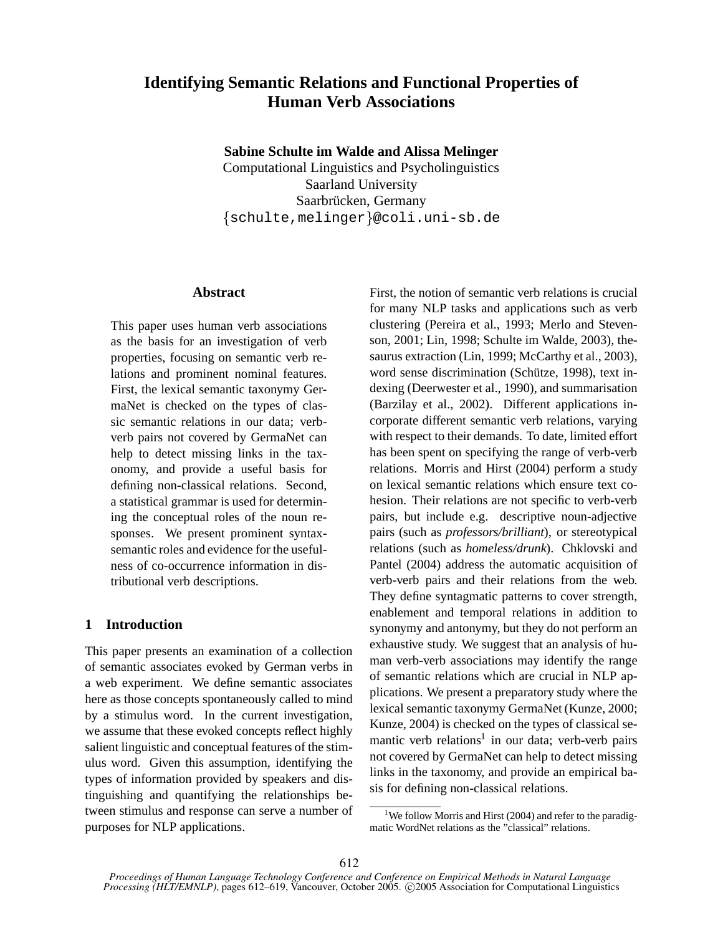# **Identifying Semantic Relations and Functional Properties of Human Verb Associations**

**Sabine Schulte im Walde and Alissa Melinger**

Computational Linguistics and Psycholinguistics Saarland University Saarbrücken, Germany schulte,melinger @coli.uni-sb.de

# **Abstract**

This paper uses human verb associations as the basis for an investigation of verb properties, focusing on semantic verb relations and prominent nominal features. First, the lexical semantic taxonymy GermaNet is checked on the types of classic semantic relations in our data; verbverb pairs not covered by GermaNet can help to detect missing links in the taxonomy, and provide a useful basis for defining non-classical relations. Second, a statistical grammar is used for determining the conceptual roles of the noun responses. We present prominent syntaxsemantic roles and evidence for the usefulness of co-occurrence information in distributional verb descriptions.

# **1 Introduction**

This paper presents an examination of a collection of semantic associates evoked by German verbs in a web experiment. We define semantic associates here as those concepts spontaneously called to mind by a stimulus word. In the current investigation, we assume that these evoked concepts reflect highly salient linguistic and conceptual features of the stimulus word. Given this assumption, identifying the types of information provided by speakers and distinguishing and quantifying the relationships between stimulus and response can serve a number of purposes for NLP applications.

First, the notion of semantic verb relations is crucial for many NLP tasks and applications such as verb clustering (Pereira et al., 1993; Merlo and Stevenson, 2001; Lin, 1998; Schulte im Walde, 2003), thesaurus extraction (Lin, 1999; McCarthy et al., 2003), word sense discrimination (Schütze, 1998), text indexing (Deerwester et al., 1990), and summarisation (Barzilay et al., 2002). Different applications incorporate different semantic verb relations, varying with respect to their demands. To date, limited effort has been spent on specifying the range of verb-verb relations. Morris and Hirst (2004) perform a study on lexical semantic relations which ensure text cohesion. Their relations are not specific to verb-verb pairs, but include e.g. descriptive noun-adjective pairs (such as *professors/brilliant*), or stereotypical relations (such as *homeless/drunk*). Chklovski and Pantel (2004) address the automatic acquisition of verb-verb pairs and their relations from the web. They define syntagmatic patterns to cover strength, enablement and temporal relations in addition to synonymy and antonymy, but they do not perform an exhaustive study. We suggest that an analysis of human verb-verb associations may identify the range of semantic relations which are crucial in NLP applications. We present a preparatory study where the lexical semantic taxonymy GermaNet (Kunze, 2000; Kunze, 2004) is checked on the types of classical semantic verb relations<sup>1</sup> in our data; verb-verb pairs not covered by GermaNet can help to detect missing links in the taxonomy, and provide an empirical basis for defining non-classical relations.

<sup>&</sup>lt;sup>1</sup>We follow Morris and Hirst (2004) and refer to the paradigmatic WordNet relations as the "classical" relations.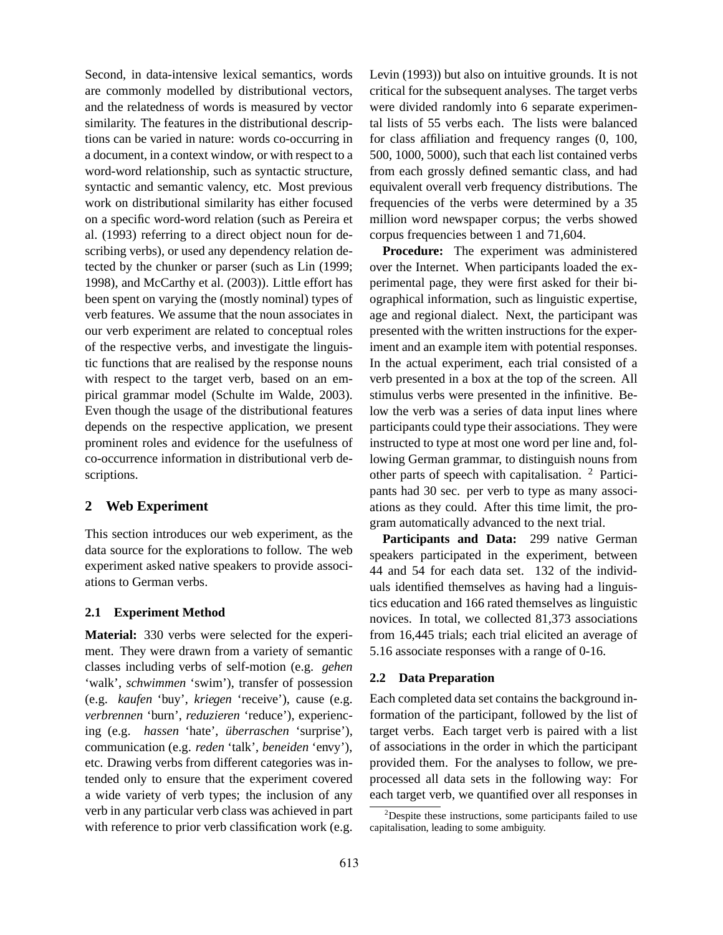Second, in data-intensive lexical semantics, words are commonly modelled by distributional vectors, and the relatedness of words is measured by vector similarity. The features in the distributional descriptions can be varied in nature: words co-occurring in a document, in a context window, or with respect to a word-word relationship, such as syntactic structure, syntactic and semantic valency, etc. Most previous work on distributional similarity has either focused on a specific word-word relation (such as Pereira et al. (1993) referring to a direct object noun for describing verbs), or used any dependency relation detected by the chunker or parser (such as Lin (1999; 1998), and McCarthy et al. (2003)). Little effort has been spent on varying the (mostly nominal) types of verb features. We assume that the noun associates in our verb experiment are related to conceptual roles of the respective verbs, and investigate the linguistic functions that are realised by the response nouns with respect to the target verb, based on an empirical grammar model (Schulte im Walde, 2003). Even though the usage of the distributional features depends on the respective application, we present prominent roles and evidence for the usefulness of co-occurrence information in distributional verb descriptions.

# **2 Web Experiment**

This section introduces our web experiment, as the data source for the explorations to follow. The web experiment asked native speakers to provide associations to German verbs.

#### **2.1 Experiment Method**

**Material:** 330 verbs were selected for the experiment. They were drawn from a variety of semantic classes including verbs of self-motion (e.g. *gehen* 'walk', *schwimmen* 'swim'), transfer of possession (e.g. *kaufen* 'buy', *kriegen* 'receive'), cause (e.g. *verbrennen* 'burn', *reduzieren* 'reduce'), experiencing (e.g. *hassen* 'hate', *überraschen* 'surprise'), communication (e.g. *reden* 'talk', *beneiden* 'envy'), etc. Drawing verbs from different categories was intended only to ensure that the experiment covered a wide variety of verb types; the inclusion of any verb in any particular verb class was achieved in part with reference to prior verb classification work (e.g.

Levin (1993)) but also on intuitive grounds. It is not critical for the subsequent analyses. The target verbs were divided randomly into 6 separate experimental lists of 55 verbs each. The lists were balanced for class affiliation and frequency ranges (0, 100, 500, 1000, 5000), such that each list contained verbs from each grossly defined semantic class, and had equivalent overall verb frequency distributions. The frequencies of the verbs were determined by a 35 million word newspaper corpus; the verbs showed corpus frequencies between 1 and 71,604.

**Procedure:** The experiment was administered over the Internet. When participants loaded the experimental page, they were first asked for their biographical information, such as linguistic expertise, age and regional dialect. Next, the participant was presented with the written instructions for the experiment and an example item with potential responses. In the actual experiment, each trial consisted of a verb presented in a box at the top of the screen. All stimulus verbs were presented in the infinitive. Below the verb was a series of data input lines where participants could type their associations. They were instructed to type at most one word per line and, following German grammar, to distinguish nouns from other parts of speech with capitalisation. <sup>2</sup> Participants had 30 sec. per verb to type as many associations as they could. After this time limit, the program automatically advanced to the next trial.

**Participants and Data:** 299 native German speakers participated in the experiment, between 44 and 54 for each data set. 132 of the individuals identified themselves as having had a linguistics education and 166 rated themselves as linguistic novices. In total, we collected 81,373 associations from 16,445 trials; each trial elicited an average of 5.16 associate responses with a range of 0-16.

## **2.2 Data Preparation**

Each completed data set contains the background information of the participant, followed by the list of target verbs. Each target verb is paired with a list of associations in the order in which the participant provided them. For the analyses to follow, we preprocessed all data sets in the following way: For each target verb, we quantified over all responses in

 $2$ Despite these instructions, some participants failed to use capitalisation, leading to some ambiguity.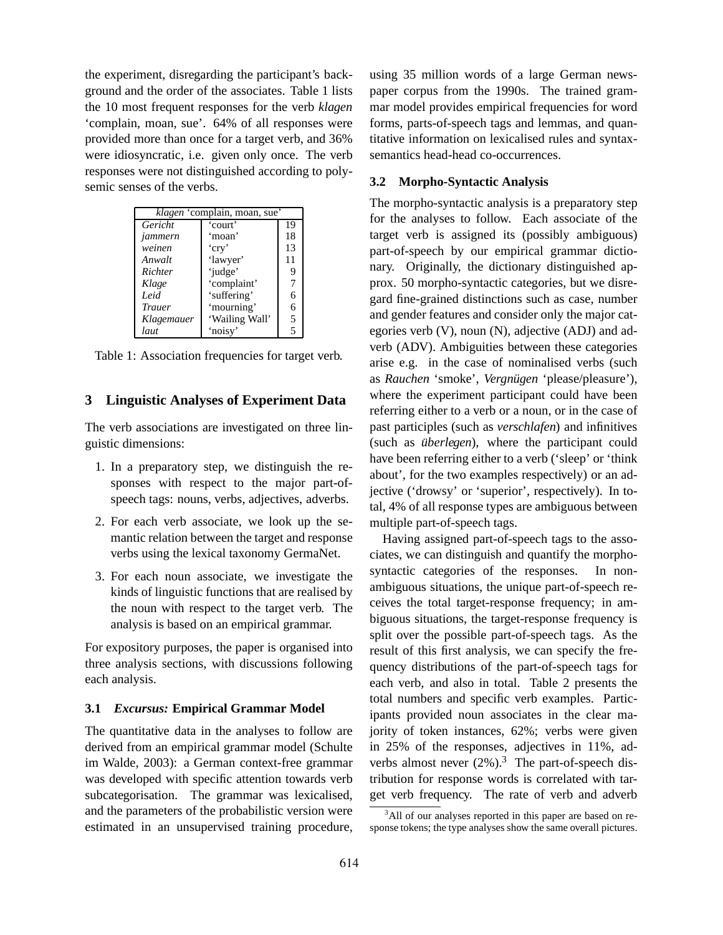the experiment, disregarding the participant's background and the order of the associates. Table 1 lists the 10 most frequent responses for the verb *klagen* 'complain, moan, sue'. 64% of all responses were provided more than once for a target verb, and 36% were idiosyncratic, i.e. given only once. The verb responses were not distinguished according to polysemic senses of the verbs.

| klagen 'complain, moan, sue' |                |    |  |  |
|------------------------------|----------------|----|--|--|
| Gericht                      | 'court'        | 19 |  |  |
| jammern                      | ʻmoan'         | 18 |  |  |
| weinen                       | 'cry'          | 13 |  |  |
| Anwalt                       | 'lawyer'       | 11 |  |  |
| Richter                      | 'judge'        |    |  |  |
| Klage                        | 'complaint'    |    |  |  |
| Leid                         | 'suffering'    | 6  |  |  |
| <b>Trauer</b>                | 'mourning'     | 6  |  |  |
| Klagemauer                   | 'Wailing Wall' | 5  |  |  |
| laut                         | 'noisy'        |    |  |  |

Table 1: Association frequencies for target verb.

## **3 Linguistic Analyses of Experiment Data**

The verb associations are investigated on three linguistic dimensions:

- 1. In a preparatory step, we distinguish the responses with respect to the major part-ofspeech tags: nouns, verbs, adjectives, adverbs.
- 2. For each verb associate, we look up the semantic relation between the target and response verbs using the lexical taxonomy GermaNet.
- 3. For each noun associate, we investigate the kinds of linguistic functions that are realised by the noun with respect to the target verb. The analysis is based on an empirical grammar.

For expository purposes, the paper is organised into three analysis sections, with discussions following each analysis.

#### **3.1** *Excursus:* **Empirical Grammar Model**

The quantitative data in the analyses to follow are derived from an empirical grammar model (Schulte im Walde, 2003): a German context-free grammar was developed with specific attention towards verb subcategorisation. The grammar was lexicalised, and the parameters of the probabilistic version were estimated in an unsupervised training procedure, using 35 million words of a large German newspaper corpus from the 1990s. The trained grammar model provides empirical frequencies for word forms, parts-of-speech tags and lemmas, and quantitative information on lexicalised rules and syntaxsemantics head-head co-occurrences.

# **3.2 Morpho-Syntactic Analysis**

The morpho-syntactic analysis is a preparatory step for the analyses to follow. Each associate of the target verb is assigned its (possibly ambiguous) part-of-speech by our empirical grammar dictionary. Originally, the dictionary distinguished approx. 50 morpho-syntactic categories, but we disregard fine-grained distinctions such as case, number and gender features and consider only the major categories verb (V), noun (N), adjective (ADJ) and adverb (ADV). Ambiguities between these categories arise e.g. in the case of nominalised verbs (such as *Rauchen* 'smoke', *Vergnügen* 'please/pleasure'), where the experiment participant could have been referring either to a verb or a noun, or in the case of past participles (such as *verschlafen*) and infinitives (such as *überlegen*), where the participant could have been referring either to a verb ('sleep' or 'think about', for the two examples respectively) or an adjective ('drowsy' or 'superior', respectively). In total, 4% of all response types are ambiguous between multiple part-of-speech tags.

Having assigned part-of-speech tags to the associates, we can distinguish and quantify the morphosyntactic categories of the responses. In nonambiguous situations, the unique part-of-speech receives the total target-response frequency; in ambiguous situations, the target-response frequency is split over the possible part-of-speech tags. As the result of this first analysis, we can specify the frequency distributions of the part-of-speech tags for each verb, and also in total. Table 2 presents the total numbers and specific verb examples. Participants provided noun associates in the clear majority of token instances, 62%; verbs were given in 25% of the responses, adjectives in 11%, adverbs almost never  $(2\%)$ .<sup>3</sup> The part-of-speech distribution for response words is correlated with target verb frequency. The rate of verb and adverb

<sup>&</sup>lt;sup>3</sup>All of our analyses reported in this paper are based on response tokens; the type analyses show the same overall pictures.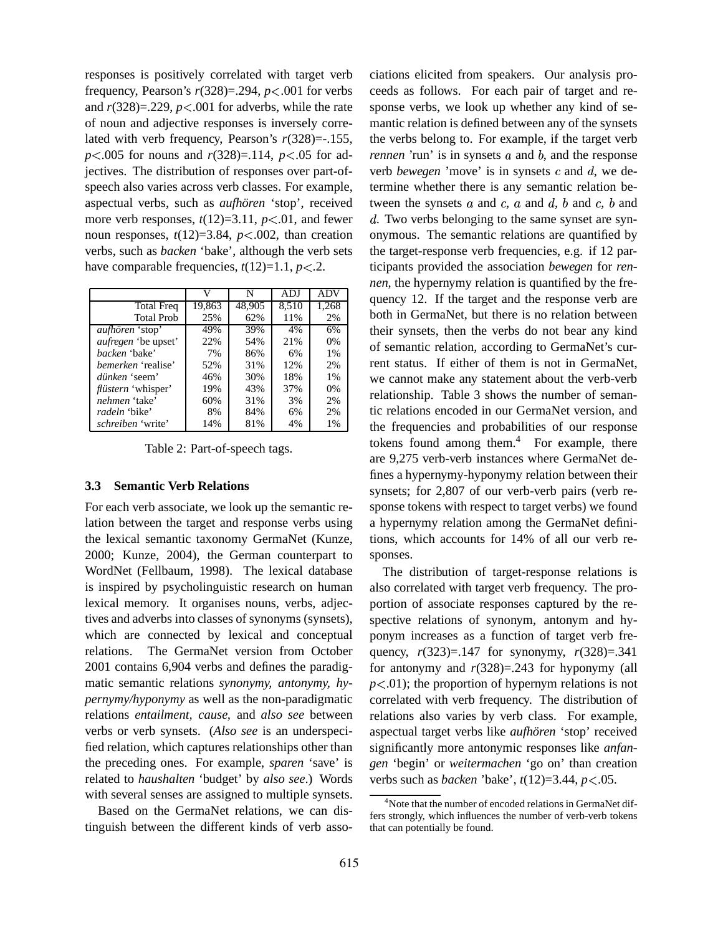responses is positively correlated with target verb frequency, Pearson's *r*(328)=.294, *p*-.001 for verbs and  $r(328)=0.229$ ,  $p<0.001$  for adverbs, while the rate of noun and adjective responses is inversely correlated with verb frequency, Pearson's *r*(328)=-.155, *p*<.005 for nouns and *r*(328)=.114, *p*<.05 for adjectives. The distribution of responses over part-ofspeech also varies across verb classes. For example, aspectual verbs, such as *aufhören* 'stop', received more verb responses,  $t(12)=3.11$ ,  $p<.01$ , and fewer noun responses,  $t(12)=3.84$ ,  $p<.002$ , than creation verbs, such as *backen* 'bake', although the verb sets have comparable frequencies,  $t(12)=1.1, p<.2$ .

|                            | V      | N      | ADJ   | <b>ADV</b> |
|----------------------------|--------|--------|-------|------------|
| <b>Total Freq</b>          | 19,863 | 48,905 | 8,510 | 1,268      |
| <b>Total Prob</b>          | 25%    | 62%    | 11%   | 2%         |
| aufhören 'stop'            | 49%    | 39%    | 4%    | 6%         |
| <i>aufregen</i> 'be upset' | 22%    | 54%    | 21%   | 0%         |
| <i>backen</i> 'bake'       | 7%     | 86%    | 6%    | 1%         |
| <i>bemerken</i> 'realise'  | 52%    | 31%    | 12%   | 2%         |
| dünken 'seem'              | 46%    | 30%    | 18%   | 1%         |
| <i>flüstern</i> 'whisper'  | 19%    | 43%    | 37%   | 0%         |
| nehmen 'take'              | 60%    | 31%    | 3%    | 2%         |
| <i>radeln</i> 'bike'       | 8%     | 84%    | 6%    | 2%         |
| <i>schreiben</i> 'write'   | 14%    | 81%    | 4%    | 1%         |

Table 2: Part-of-speech tags.

#### **3.3 Semantic Verb Relations**

For each verb associate, we look up the semantic relation between the target and response verbs using the lexical semantic taxonomy GermaNet (Kunze, 2000; Kunze, 2004), the German counterpart to WordNet (Fellbaum, 1998). The lexical database is inspired by psycholinguistic research on human lexical memory. It organises nouns, verbs, adjectives and adverbs into classes of synonyms (synsets), which are connected by lexical and conceptual relations. The GermaNet version from October 2001 contains 6,904 verbs and defines the paradigmatic semantic relations *synonymy, antonymy, hypernymy/hyponymy* as well as the non-paradigmatic relations *entailment, cause,* and *also see* between verbs or verb synsets. (*Also see* is an underspecified relation, which captures relationships other than the preceding ones. For example, *sparen* 'save' is related to *haushalten* 'budget' by *also see*.) Words with several senses are assigned to multiple synsets.

Based on the GermaNet relations, we can distinguish between the different kinds of verb associations elicited from speakers. Our analysis proceeds as follows. For each pair of target and response verbs, we look up whether any kind of semantic relation is defined between any of the synsets the verbs belong to. For example, if the target verb *rennen* 'run' is in synsets  $a$  and  $b$ , and the response verb *bewegen* 'move' is in synsets  $c$  and  $d$ , we determine whether there is any semantic relation between the synsets  $a$  and  $c$ ,  $a$  and  $d$ ,  $b$  and  $c$ ,  $b$  and . Two verbs belonging to the same synset are synonymous. The semantic relations are quantified by the target-response verb frequencies, e.g. if 12 participants provided the association *bewegen* for *rennen*, the hypernymy relation is quantified by the frequency 12. If the target and the response verb are both in GermaNet, but there is no relation between their synsets, then the verbs do not bear any kind of semantic relation, according to GermaNet's current status. If either of them is not in GermaNet, we cannot make any statement about the verb-verb relationship. Table 3 shows the number of semantic relations encoded in our GermaNet version, and the frequencies and probabilities of our response tokens found among them.<sup>4</sup> For example, there are 9,275 verb-verb instances where GermaNet defines a hypernymy-hyponymy relation between their synsets; for 2,807 of our verb-verb pairs (verb response tokens with respect to target verbs) we found a hypernymy relation among the GermaNet definitions, which accounts for 14% of all our verb responses.

The distribution of target-response relations is also correlated with target verb frequency. The proportion of associate responses captured by the respective relations of synonym, antonym and hyponym increases as a function of target verb frequency, *r*(323)=.147 for synonymy, *r*(328)=.341 for antonymy and *r*(328)=.243 for hyponymy (all  $p<.01$ ); the proportion of hypernym relations is not correlated with verb frequency. The distribution of relations also varies by verb class. For example, aspectual target verbs like *aufhören* 'stop' received significantly more antonymic responses like *anfangen* 'begin' or *weitermachen* 'go on' than creation verbs such as *backen* 'bake', *t*(12)=3.44, *p*-.05.

 $4$ Note that the number of encoded relations in GermaNet differs strongly, which influences the number of verb-verb tokens that can potentially be found.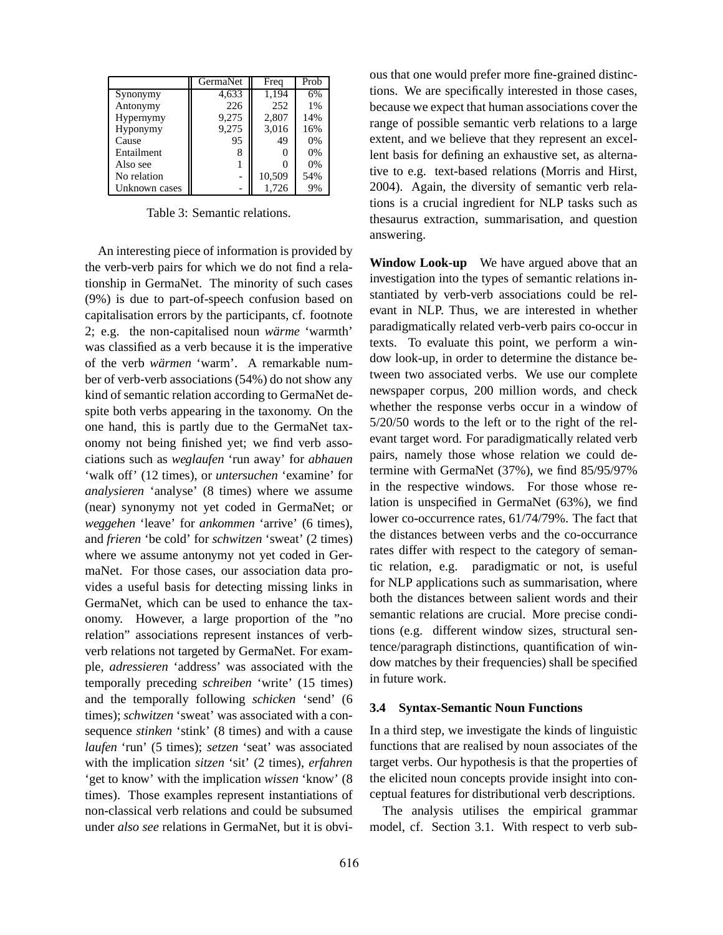|               | GermaNet | Freq   | Prob |
|---------------|----------|--------|------|
| Synonymy      | 4,633    | 1.194  | 6%   |
| Antonymy      | 226      | 252    | 1%   |
| Hypernymy     | 9,275    | 2,807  | 14%  |
| Hyponymy      | 9,275    | 3,016  | 16%  |
| Cause         | 95       | 49     | 0%   |
| Entailment    | 8        |        | 0%   |
| Also see      |          |        | 0%   |
| No relation   |          | 10,509 | 54%  |
| Unknown cases |          | 1,726  | 9%   |

Table 3: Semantic relations.

An interesting piece of information is provided by the verb-verb pairs for which we do not find a relationship in GermaNet. The minority of such cases (9%) is due to part-of-speech confusion based on capitalisation errors by the participants, cf. footnote 2; e.g. the non-capitalised noun *warme ¨* 'warmth' was classified as a verb because it is the imperative of the verb *wärmen* 'warm'. A remarkable number of verb-verb associations (54%) do not show any kind of semantic relation according to GermaNet despite both verbs appearing in the taxonomy. On the one hand, this is partly due to the GermaNet taxonomy not being finished yet; we find verb associations such as *weglaufen* 'run away' for *abhauen* 'walk off' (12 times), or *untersuchen* 'examine' for *analysieren* 'analyse' (8 times) where we assume (near) synonymy not yet coded in GermaNet; or *weggehen* 'leave' for *ankommen* 'arrive' (6 times), and *frieren* 'be cold' for *schwitzen* 'sweat' (2 times) where we assume antonymy not yet coded in GermaNet. For those cases, our association data provides a useful basis for detecting missing links in GermaNet, which can be used to enhance the taxonomy. However, a large proportion of the "no relation" associations represent instances of verbverb relations not targeted by GermaNet. For example, *adressieren* 'address' was associated with the temporally preceding *schreiben* 'write' (15 times) and the temporally following *schicken* 'send' (6 times); *schwitzen* 'sweat' was associated with a consequence *stinken* 'stink' (8 times) and with a cause *laufen* 'run' (5 times); *setzen* 'seat' was associated with the implication *sitzen* 'sit' (2 times), *erfahren* 'get to know' with the implication *wissen* 'know' (8 times). Those examples represent instantiations of non-classical verb relations and could be subsumed under *also see* relations in GermaNet, but it is obvious that one would prefer more fine-grained distinctions. We are specifically interested in those cases, because we expect that human associations cover the range of possible semantic verb relations to a large extent, and we believe that they represent an excellent basis for defining an exhaustive set, as alternative to e.g. text-based relations (Morris and Hirst, 2004). Again, the diversity of semantic verb relations is a crucial ingredient for NLP tasks such as thesaurus extraction, summarisation, and question answering.

**Window Look-up** We have argued above that an investigation into the types of semantic relations instantiated by verb-verb associations could be relevant in NLP. Thus, we are interested in whether paradigmatically related verb-verb pairs co-occur in texts. To evaluate this point, we perform a window look-up, in order to determine the distance between two associated verbs. We use our complete newspaper corpus, 200 million words, and check whether the response verbs occur in a window of 5/20/50 words to the left or to the right of the relevant target word. For paradigmatically related verb pairs, namely those whose relation we could determine with GermaNet (37%), we find 85/95/97% in the respective windows. For those whose relation is unspecified in GermaNet (63%), we find lower co-occurrence rates, 61/74/79%. The fact that the distances between verbs and the co-occurrance rates differ with respect to the category of semantic relation, e.g. paradigmatic or not, is useful for NLP applications such as summarisation, where both the distances between salient words and their semantic relations are crucial. More precise conditions (e.g. different window sizes, structural sentence/paragraph distinctions, quantification of window matches by their frequencies) shall be specified in future work.

## **3.4 Syntax-Semantic Noun Functions**

In a third step, we investigate the kinds of linguistic functions that are realised by noun associates of the target verbs. Our hypothesis is that the properties of the elicited noun concepts provide insight into conceptual features for distributional verb descriptions.

The analysis utilises the empirical grammar model, cf. Section 3.1. With respect to verb sub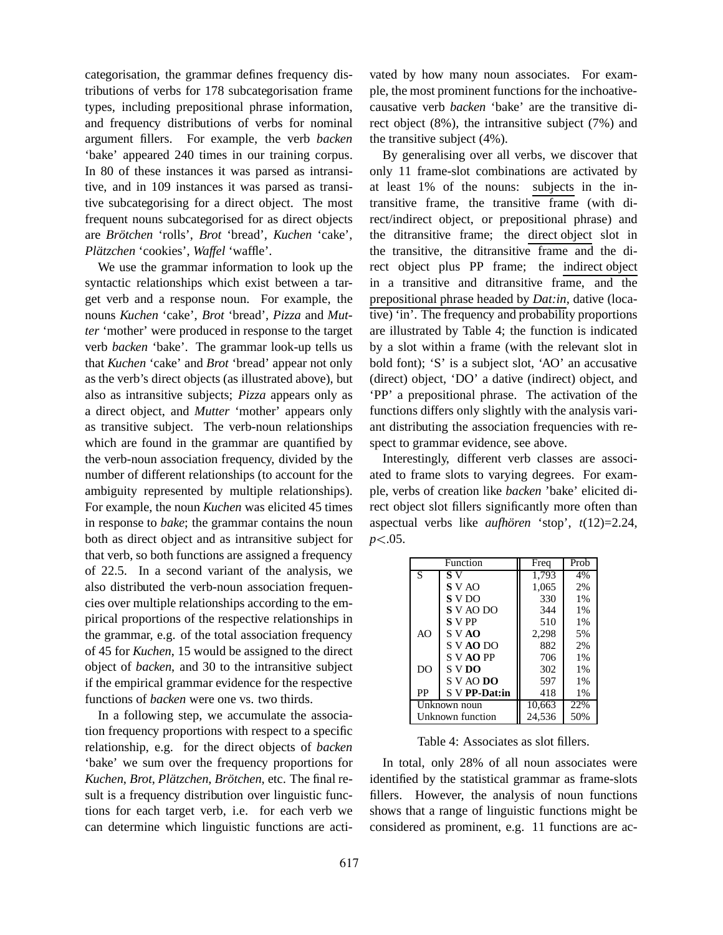categorisation, the grammar defines frequency distributions of verbs for 178 subcategorisation frame types, including prepositional phrase information, and frequency distributions of verbs for nominal argument fillers. For example, the verb *backen* 'bake' appeared 240 times in our training corpus. In 80 of these instances it was parsed as intransitive, and in 109 instances it was parsed as transitive subcategorising for a direct object. The most frequent nouns subcategorised for as direct objects are *Brotc ¨ hen* 'rolls', *Brot* 'bread', *Kuchen* 'cake', *Plätzchen* 'cookies', *Waffel* 'waffle'.

We use the grammar information to look up the syntactic relationships which exist between a target verb and a response noun. For example, the nouns *Kuchen* 'cake', *Brot* 'bread', *Pizza* and *Mutter* 'mother' were produced in response to the target verb *backen* 'bake'. The grammar look-up tells us that *Kuchen* 'cake' and *Brot* 'bread' appear not only as the verb's direct objects (as illustrated above), but also as intransitive subjects; *Pizza* appears only as a direct object, and *Mutter* 'mother' appears only as transitive subject. The verb-noun relationships which are found in the grammar are quantified by the verb-noun association frequency, divided by the number of different relationships (to account for the ambiguity represented by multiple relationships). For example, the noun *Kuchen* was elicited 45 times in response to *bake*; the grammar contains the noun both as direct object and as intransitive subject for that verb, so both functions are assigned a frequency of 22.5. In a second variant of the analysis, we also distributed the verb-noun association frequencies over multiple relationships according to the empirical proportions of the respective relationships in the grammar, e.g. of the total association frequency of 45 for *Kuchen*, 15 would be assigned to the direct object of *backen*, and 30 to the intransitive subject if the empirical grammar evidence for the respective functions of *backen* were one vs. two thirds.

In a following step, we accumulate the association frequency proportions with respect to a specific relationship, e.g. for the direct objects of *backen* 'bake' we sum over the frequency proportions for *Kuchen*, *Brot*, *Platzc ¨ hen*, *Brotc ¨ hen*, etc. The final result is a frequency distribution over linguistic functions for each target verb, i.e. for each verb we can determine which linguistic functions are activated by how many noun associates. For example, the most prominent functions for the inchoativecausative verb *backen* 'bake' are the transitive direct object (8%), the intransitive subject (7%) and the transitive subject (4%).

By generalising over all verbs, we discover that only 11 frame-slot combinations are activated by at least 1% of the nouns: subjects in the intransitive frame, the transitive frame (with direct/indirect object, or prepositional phrase) and the ditransitive frame; the direct object slot in the transitive, the ditransitive frame and the direct object plus PP frame; the indirect object in a transitive and ditransitive frame, and the prepositional phrase headed by *Dat:in*, dative (locative) 'in'. The frequency and probability proportions are illustrated by Table 4; the function is indicated by a slot within a frame (with the relevant slot in bold font); 'S' is a subject slot, 'AO' an accusative (direct) object, 'DO' a dative (indirect) object, and 'PP' a prepositional phrase. The activation of the functions differs only slightly with the analysis variant distributing the association frequencies with respect to grammar evidence, see above.

Interestingly, different verb classes are associated to frame slots to varying degrees. For example, verbs of creation like *backen* 'bake' elicited direct object slot fillers significantly more often than aspectual verbs like *aufhören* 'stop',  $t(12)=2.24$ , *p*-.05.

|                  | Function      | Freq   | Prob |
|------------------|---------------|--------|------|
| S                | S V           | 1,793  | 4%   |
|                  | S V AO        | 1,065  | 2%   |
|                  | S V DO        | 330    | 1%   |
|                  | S V AO DO     | 344    | 1%   |
|                  | <b>S</b> V PP | 510    | 1%   |
| AO               | S V AO        | 2,298  | 5%   |
|                  | S V AO DO     | 882    | 2%   |
|                  | S V AO PP     | 706    | 1%   |
| D <sub>O</sub>   | S V DO        | 302    | 1%   |
|                  | $S$ V AO DO   | 597    | 1%   |
| PP               | S V PP-Dat:in | 418    | 1%   |
| Unknown noun     |               | 10,663 | 22%  |
| Unknown function |               | 24,536 | 50%  |

Table 4: Associates as slot fillers.

In total, only 28% of all noun associates were identified by the statistical grammar as frame-slots fillers. However, the analysis of noun functions shows that a range of linguistic functions might be considered as prominent, e.g. 11 functions are ac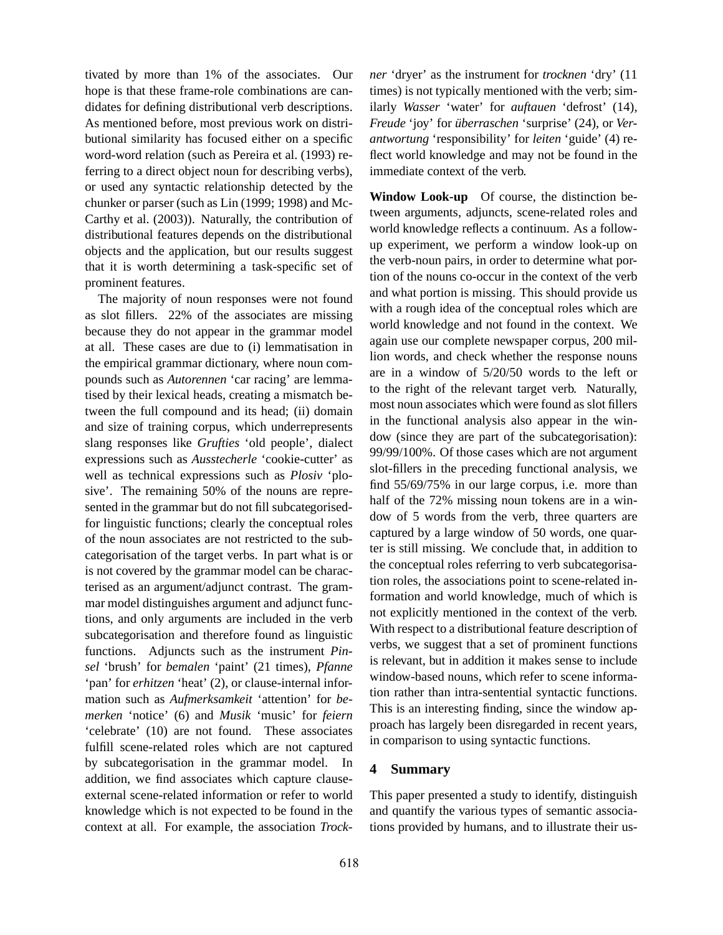tivated by more than 1% of the associates. Our hope is that these frame-role combinations are candidates for defining distributional verb descriptions. As mentioned before, most previous work on distributional similarity has focused either on a specific word-word relation (such as Pereira et al. (1993) referring to a direct object noun for describing verbs), or used any syntactic relationship detected by the chunker or parser (such as Lin (1999; 1998) and Mc-Carthy et al. (2003)). Naturally, the contribution of distributional features depends on the distributional objects and the application, but our results suggest that it is worth determining a task-specific set of prominent features.

The majority of noun responses were not found as slot fillers. 22% of the associates are missing because they do not appear in the grammar model at all. These cases are due to (i) lemmatisation in the empirical grammar dictionary, where noun compounds such as *Autorennen* 'car racing' are lemmatised by their lexical heads, creating a mismatch between the full compound and its head; (ii) domain and size of training corpus, which underrepresents slang responses like *Grufties* 'old people', dialect expressions such as *Ausstecherle* 'cookie-cutter' as well as technical expressions such as *Plosiv* 'plosive'. The remaining 50% of the nouns are represented in the grammar but do not fill subcategorisedfor linguistic functions; clearly the conceptual roles of the noun associates are not restricted to the subcategorisation of the target verbs. In part what is or is not covered by the grammar model can be characterised as an argument/adjunct contrast. The grammar model distinguishes argument and adjunct functions, and only arguments are included in the verb subcategorisation and therefore found as linguistic functions. Adjuncts such as the instrument *Pinsel* 'brush' for *bemalen* 'paint' (21 times), *Pfanne* 'pan' for *erhitzen* 'heat' (2), or clause-internal information such as *Aufmerksamkeit* 'attention' for *bemerken* 'notice' (6) and *Musik* 'music' for *feiern* 'celebrate' (10) are not found. These associates fulfill scene-related roles which are not captured by subcategorisation in the grammar model. In addition, we find associates which capture clauseexternal scene-related information or refer to world knowledge which is not expected to be found in the context at all. For example, the association *Trock-* *ner* 'dryer' as the instrument for *trocknen* 'dry' (11 times) is not typically mentioned with the verb; similarly *Wasser* 'water' for *auftauen* 'defrost' (14), *Freude* 'joy' for *überraschen* 'surprise' (24), or *Verantwortung* 'responsibility' for *leiten* 'guide' (4) reflect world knowledge and may not be found in the immediate context of the verb.

**Window Look-up** Of course, the distinction between arguments, adjuncts, scene-related roles and world knowledge reflects a continuum. As a followup experiment, we perform a window look-up on the verb-noun pairs, in order to determine what portion of the nouns co-occur in the context of the verb and what portion is missing. This should provide us with a rough idea of the conceptual roles which are world knowledge and not found in the context. We again use our complete newspaper corpus, 200 million words, and check whether the response nouns are in a window of 5/20/50 words to the left or to the right of the relevant target verb. Naturally, most noun associates which were found as slot fillers in the functional analysis also appear in the window (since they are part of the subcategorisation): 99/99/100%. Of those cases which are not argument slot-fillers in the preceding functional analysis, we find 55/69/75% in our large corpus, i.e. more than half of the 72% missing noun tokens are in a window of 5 words from the verb, three quarters are captured by a large window of 50 words, one quarter is still missing. We conclude that, in addition to the conceptual roles referring to verb subcategorisation roles, the associations point to scene-related information and world knowledge, much of which is not explicitly mentioned in the context of the verb. With respect to a distributional feature description of verbs, we suggest that a set of prominent functions is relevant, but in addition it makes sense to include window-based nouns, which refer to scene information rather than intra-sentential syntactic functions. This is an interesting finding, since the window approach has largely been disregarded in recent years, in comparison to using syntactic functions.

# **4 Summary**

This paper presented a study to identify, distinguish and quantify the various types of semantic associations provided by humans, and to illustrate their us